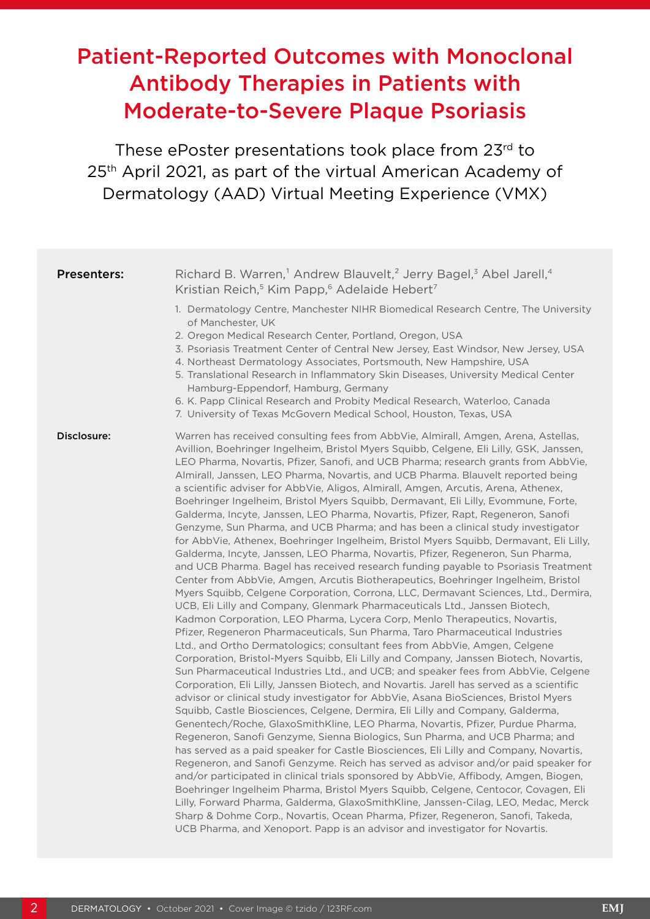# Patient-Reported Outcomes with Monoclonal Antibody Therapies in Patients with Moderate-to-Severe Plaque Psoriasis

These ePoster presentations took place from 23rd to 25<sup>th</sup> April 2021, as part of the virtual American Academy of Dermatology (AAD) Virtual Meeting Experience (VMX)

| <b>Presenters:</b> | Richard B. Warren, <sup>1</sup> Andrew Blauvelt, <sup>2</sup> Jerry Bagel, <sup>3</sup> Abel Jarell, <sup>4</sup>                                                                                                                                                                                                                                                                                                                                                                                                                                                                                                                                                                                                                                                                                                                                                                                                                                                                                                                                                                                                                                                                                                                                                                                                                                                                                                                                                                                                                                                                                                                                                                                                                                                                                                                                                                                                                                                                                                                                                                                                                                                                                                                                                                                                                                                                                                                                                                                                                                                                                                                                                                                                               |
|--------------------|---------------------------------------------------------------------------------------------------------------------------------------------------------------------------------------------------------------------------------------------------------------------------------------------------------------------------------------------------------------------------------------------------------------------------------------------------------------------------------------------------------------------------------------------------------------------------------------------------------------------------------------------------------------------------------------------------------------------------------------------------------------------------------------------------------------------------------------------------------------------------------------------------------------------------------------------------------------------------------------------------------------------------------------------------------------------------------------------------------------------------------------------------------------------------------------------------------------------------------------------------------------------------------------------------------------------------------------------------------------------------------------------------------------------------------------------------------------------------------------------------------------------------------------------------------------------------------------------------------------------------------------------------------------------------------------------------------------------------------------------------------------------------------------------------------------------------------------------------------------------------------------------------------------------------------------------------------------------------------------------------------------------------------------------------------------------------------------------------------------------------------------------------------------------------------------------------------------------------------------------------------------------------------------------------------------------------------------------------------------------------------------------------------------------------------------------------------------------------------------------------------------------------------------------------------------------------------------------------------------------------------------------------------------------------------------------------------------------------------|
|                    | Kristian Reich, <sup>5</sup> Kim Papp, <sup>6</sup> Adelaide Hebert <sup>7</sup><br>1. Dermatology Centre, Manchester NIHR Biomedical Research Centre, The University<br>of Manchester, UK<br>2. Oregon Medical Research Center, Portland, Oregon, USA<br>3. Psoriasis Treatment Center of Central New Jersey, East Windsor, New Jersey, USA<br>4. Northeast Dermatology Associates, Portsmouth, New Hampshire, USA<br>5. Translational Research in Inflammatory Skin Diseases, University Medical Center<br>Hamburg-Eppendorf, Hamburg, Germany<br>6. K. Papp Clinical Research and Probity Medical Research, Waterloo, Canada<br>7. University of Texas McGovern Medical School, Houston, Texas, USA                                                                                                                                                                                                                                                                                                                                                                                                                                                                                                                                                                                                                                                                                                                                                                                                                                                                                                                                                                                                                                                                                                                                                                                                                                                                                                                                                                                                                                                                                                                                                                                                                                                                                                                                                                                                                                                                                                                                                                                                                          |
| Disclosure:        | Warren has received consulting fees from AbbVie, Almirall, Amgen, Arena, Astellas,<br>Avillion, Boehringer Ingelheim, Bristol Myers Squibb, Celgene, Eli Lilly, GSK, Janssen,<br>LEO Pharma, Novartis, Pfizer, Sanofi, and UCB Pharma; research grants from AbbVie,<br>Almirall, Janssen, LEO Pharma, Novartis, and UCB Pharma. Blauvelt reported being<br>a scientific adviser for AbbVie, Aligos, Almirall, Amgen, Arcutis, Arena, Athenex,<br>Boehringer Ingelheim, Bristol Myers Squibb, Dermavant, Eli Lilly, Evommune, Forte,<br>Galderma, Incyte, Janssen, LEO Pharma, Novartis, Pfizer, Rapt, Regeneron, Sanofi<br>Genzyme, Sun Pharma, and UCB Pharma; and has been a clinical study investigator<br>for AbbVie, Athenex, Boehringer Ingelheim, Bristol Myers Squibb, Dermavant, Eli Lilly,<br>Galderma, Incyte, Janssen, LEO Pharma, Novartis, Pfizer, Regeneron, Sun Pharma,<br>and UCB Pharma. Bagel has received research funding payable to Psoriasis Treatment<br>Center from AbbVie, Amgen, Arcutis Biotherapeutics, Boehringer Ingelheim, Bristol<br>Myers Squibb, Celgene Corporation, Corrona, LLC, Dermavant Sciences, Ltd., Dermira,<br>UCB, Eli Lilly and Company, Glenmark Pharmaceuticals Ltd., Janssen Biotech,<br>Kadmon Corporation, LEO Pharma, Lycera Corp, Menlo Therapeutics, Novartis,<br>Pfizer, Regeneron Pharmaceuticals, Sun Pharma, Taro Pharmaceutical Industries<br>Ltd., and Ortho Dermatologics; consultant fees from AbbVie, Amgen, Celgene<br>Corporation, Bristol-Myers Squibb, Eli Lilly and Company, Janssen Biotech, Novartis,<br>Sun Pharmaceutical Industries Ltd., and UCB; and speaker fees from AbbVie, Celgene<br>Corporation, Eli Lilly, Janssen Biotech, and Novartis. Jarell has served as a scientific<br>advisor or clinical study investigator for AbbVie, Asana BioSciences, Bristol Myers<br>Squibb, Castle Biosciences, Celgene, Dermira, Eli Lilly and Company, Galderma,<br>Genentech/Roche, GlaxoSmithKline, LEO Pharma, Novartis, Pfizer, Purdue Pharma,<br>Regeneron, Sanofi Genzyme, Sienna Biologics, Sun Pharma, and UCB Pharma; and<br>has served as a paid speaker for Castle Biosciences, Eli Lilly and Company, Novartis,<br>Regeneron, and Sanofi Genzyme. Reich has served as advisor and/or paid speaker for<br>and/or participated in clinical trials sponsored by AbbVie, Affibody, Amgen, Biogen,<br>Boehringer Ingelheim Pharma, Bristol Myers Squibb, Celgene, Centocor, Covagen, Eli<br>Lilly, Forward Pharma, Galderma, GlaxoSmithKline, Janssen-Cilag, LEO, Medac, Merck<br>Sharp & Dohme Corp., Novartis, Ocean Pharma, Pfizer, Regeneron, Sanofi, Takeda,<br>UCB Pharma, and Xenoport. Papp is an advisor and investigator for Novartis. |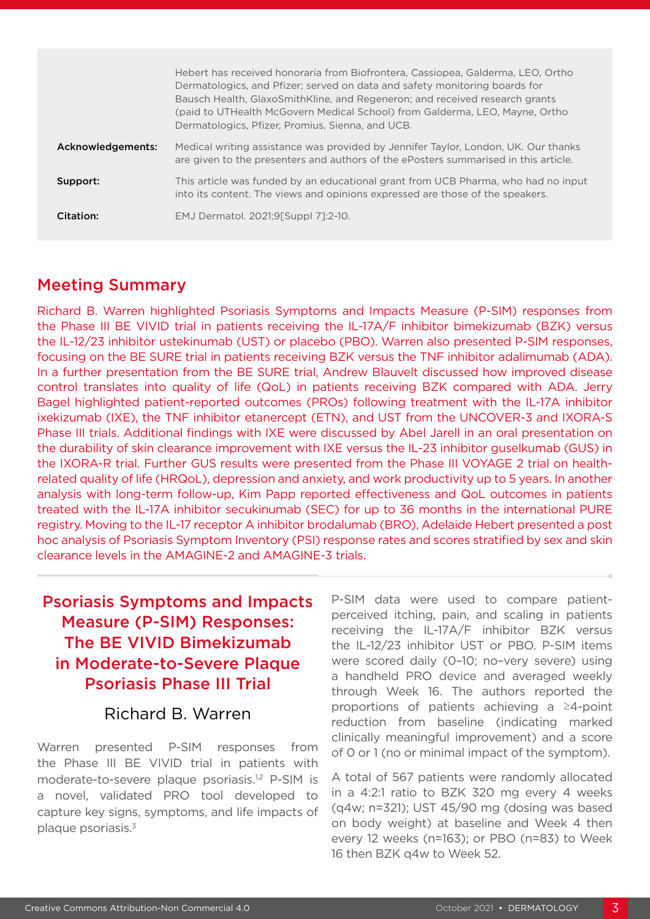|                   | Hebert has received honoraria from Biofrontera, Cassiopea, Galderma, LEO, Ortho<br>Dermatologics, and Pfizer; served on data and safety monitoring boards for<br>Bausch Health, GlaxoSmithKline, and Regeneron; and received research grants<br>(paid to UTHealth McGovern Medical School) from Galderma, LEO, Mayne, Ortho<br>Dermatologics, Pfizer, Promius, Sienna, and UCB. |
|-------------------|---------------------------------------------------------------------------------------------------------------------------------------------------------------------------------------------------------------------------------------------------------------------------------------------------------------------------------------------------------------------------------|
| Acknowledgements: | Medical writing assistance was provided by Jennifer Taylor, London, UK. Our thanks<br>are given to the presenters and authors of the ePosters summarised in this article.                                                                                                                                                                                                       |
| Support:          | This article was funded by an educational grant from UCB Pharma, who had no input<br>into its content. The views and opinions expressed are those of the speakers.                                                                                                                                                                                                              |
| Citation:         | EMJ Dermatol. 2021;9[Suppl 7]:2-10.                                                                                                                                                                                                                                                                                                                                             |

#### Meeting Summary

Richard B. Warren highlighted Psoriasis Symptoms and Impacts Measure (P-SIM) responses from the Phase III BE VIVID trial in patients receiving the IL-17A/F inhibitor bimekizumab (BZK) versus the IL-12/23 inhibitor ustekinumab (UST) or placebo (PBO). Warren also presented P-SIM responses, focusing on the BE SURE trial in patients receiving BZK versus the TNF inhibitor adalimumab (ADA). In a further presentation from the BE SURE trial, Andrew Blauvelt discussed how improved disease control translates into quality of life (QoL) in patients receiving BZK compared with ADA. Jerry Bagel highlighted patient-reported outcomes (PROs) following treatment with the IL-17A inhibitor ixekizumab (IXE), the TNF inhibitor etanercept (ETN), and UST from the UNCOVER-3 and IXORA-S Phase III trials. Additional findings with IXE were discussed by Abel Jarell in an oral presentation on the durability of skin clearance improvement with IXE versus the IL-23 inhibitor guselkumab (GUS) in the IXORA-R trial. Further GUS results were presented from the Phase III VOYAGE 2 trial on healthrelated quality of life (HRQoL), depression and anxiety, and work productivity up to 5 years. In another analysis with long-term follow-up, Kim Papp reported effectiveness and QoL outcomes in patients treated with the IL-17A inhibitor secukinumab (SEC) for up to 36 months in the international PURE registry. Moving to the IL-17 receptor A inhibitor brodalumab (BRO), Adelaide Hebert presented a post hoc analysis of Psoriasis Symptom Inventory (PSI) response rates and scores stratified by sex and skin clearance levels in the AMAGINE-2 and AMAGINE-3 trials.

## Psoriasis Symptoms and Impacts Measure (P-SIM) Responses: The BE VIVID Bimekizumab in Moderate-to-Severe Plaque Psoriasis Phase III Trial

#### Richard B. Warren

Warren presented P-SIM responses from the Phase III BE VIVID trial in patients with moderate-to-severe plaque psoriasis.<sup>1,2</sup> P-SIM is a novel, validated PRO tool developed to capture key signs, symptoms, and life impacts of plaque psoriasis.3

P-SIM data were used to compare patientperceived itching, pain, and scaling in patients receiving the IL-17A/F inhibitor BZK versus the IL-12/23 inhibitor UST or PBO. P-SIM items were scored daily (0–10; no–very severe) using a handheld PRO device and averaged weekly through Week 16. The authors reported the proportions of patients achieving a ≥4-point reduction from baseline (indicating marked clinically meaningful improvement) and a score of 0 or 1 (no or minimal impact of the symptom).

A total of 567 patients were randomly allocated in a 4:2:1 ratio to BZK 320 mg every 4 weeks (q4w; n=321); UST 45/90 mg (dosing was based on body weight) at baseline and Week 4 then every 12 weeks (n=163); or PBO (n=83) to Week 16 then BZK q4w to Week 52.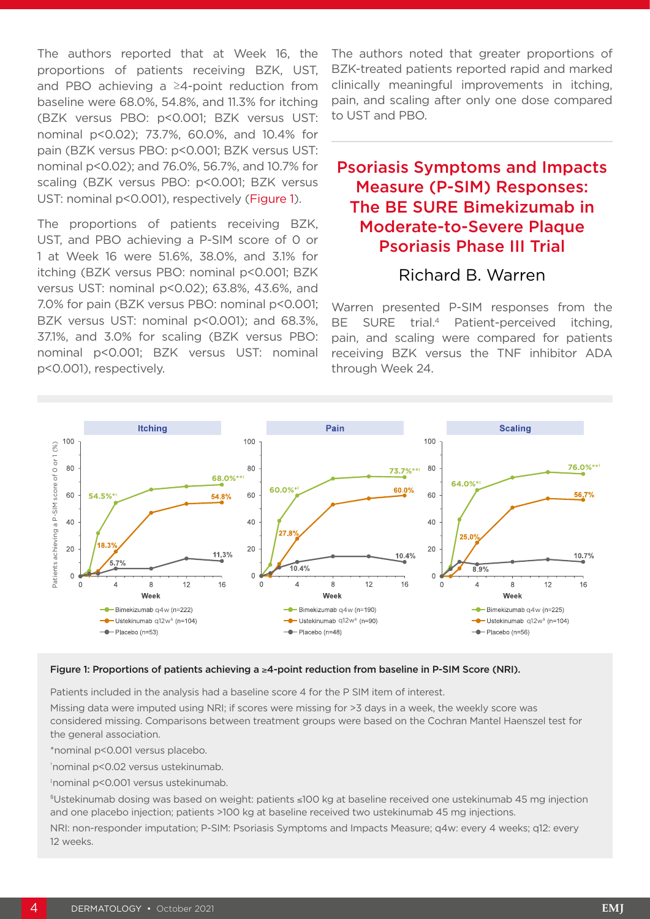The authors reported that at Week 16, the proportions of patients receiving BZK, UST, and PBO achieving a ≥4-point reduction from baseline were 68.0%, 54.8%, and 11.3% for itching (BZK versus PBO: p<0.001; BZK versus UST: nominal p<0.02); 73.7%, 60.0%, and 10.4% for pain (BZK versus PBO: p<0.001; BZK versus UST: nominal p<0.02); and 76.0%, 56.7%, and 10.7% for scaling (BZK versus PBO: p<0.001; BZK versus UST: nominal p<0.001), respectively (Figure 1).

The proportions of patients receiving BZK, UST, and PBO achieving a P-SIM score of 0 or 1 at Week 16 were 51.6%, 38.0%, and 3.1% for itching (BZK versus PBO: nominal p<0.001; BZK versus UST: nominal p<0.02); 63.8%, 43.6%, and 7.0% for pain (BZK versus PBO: nominal p<0.001; BZK versus UST: nominal p<0.001); and 68.3%, 37.1%, and 3.0% for scaling (BZK versus PBO: nominal p<0.001; BZK versus UST: nominal p<0.001), respectively.

The authors noted that greater proportions of BZK-treated patients reported rapid and marked clinically meaningful improvements in itching, pain, and scaling after only one dose compared to UST and PBO.

### Psoriasis Symptoms and Impacts Measure (P-SIM) Responses: The BE SURE Bimekizumab in Moderate-to-Severe Plaque Psoriasis Phase III Trial

#### Richard B. Warren

Warren presented P-SIM responses from the BE SURE trial.<sup>4</sup> Patient-perceived itching, pain, and scaling were compared for patients receiving BZK versus the TNF inhibitor ADA through Week 24.



#### Figure 1: Proportions of patients achieving a ≥4-point reduction from baseline in P-SIM Score (NRI).

Patients included in the analysis had a baseline score 4 for the P SIM item of interest.

Missing data were imputed using NRI; if scores were missing for >3 days in a week, the weekly score was considered missing. Comparisons between treatment groups were based on the Cochran Mantel Haenszel test for the general association.

\*nominal p<0.001 versus placebo.

† nominal p<0.02 versus ustekinumab.

‡ nominal p<0.001 versus ustekinumab.

§Ustekinumab dosing was based on weight: patients ≤100 kg at baseline received one ustekinumab 45 mg injection and one placebo injection; patients >100 kg at baseline received two ustekinumab 45 mg injections.

NRI: non-responder imputation; P-SIM: Psoriasis Symptoms and Impacts Measure; q4w: every 4 weeks; q12: every 12 weeks.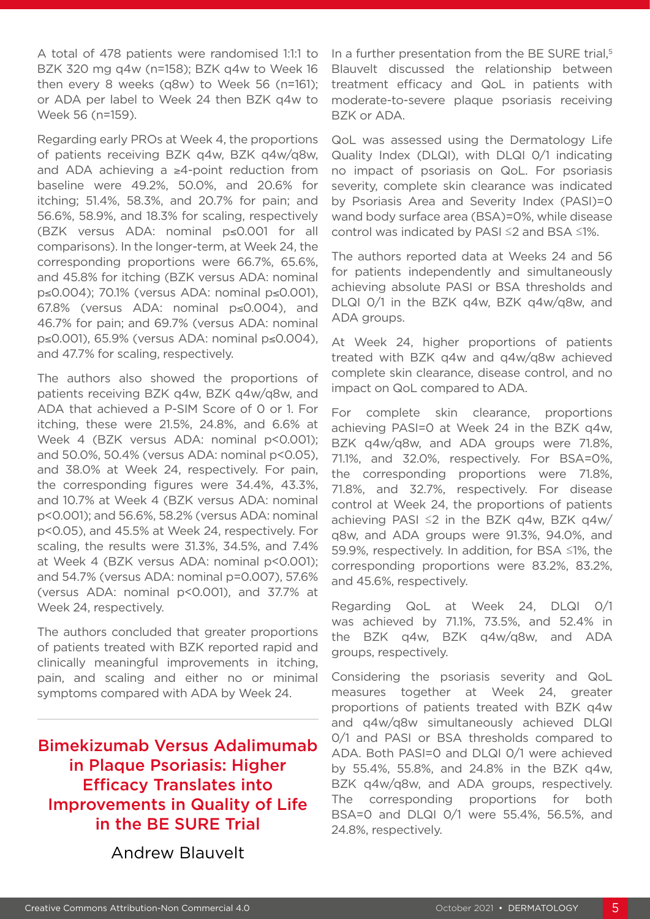A total of 478 patients were randomised 1:1:1 to BZK 320 mg q4w (n=158); BZK q4w to Week 16 then every 8 weeks (q8w) to Week 56 (n=161); or ADA per label to Week 24 then BZK q4w to Week 56 (n=159).

Regarding early PROs at Week 4, the proportions of patients receiving BZK q4w, BZK q4w/q8w, and ADA achieving a ≥4-point reduction from baseline were 49.2%, 50.0%, and 20.6% for itching; 51.4%, 58.3%, and 20.7% for pain; and 56.6%, 58.9%, and 18.3% for scaling, respectively (BZK versus ADA: nominal p≤0.001 for all comparisons). In the longer-term, at Week 24, the corresponding proportions were 66.7%, 65.6%, and 45.8% for itching (BZK versus ADA: nominal p≤0.004); 70.1% (versus ADA: nominal p≤0.001), 67.8% (versus ADA: nominal p≤0.004), and 46.7% for pain; and 69.7% (versus ADA: nominal p≤0.001), 65.9% (versus ADA: nominal p≤0.004), and 47.7% for scaling, respectively.

The authors also showed the proportions of patients receiving BZK q4w, BZK q4w/q8w, and ADA that achieved a P-SIM Score of 0 or 1. For itching, these were 21.5%, 24.8%, and 6.6% at Week 4 (BZK versus ADA: nominal p<0.001); and 50.0%, 50.4% (versus ADA: nominal p<0.05), and 38.0% at Week 24, respectively. For pain, the corresponding figures were 34.4%, 43.3%, and 10.7% at Week 4 (BZK versus ADA: nominal p<0.001); and 56.6%, 58.2% (versus ADA: nominal p<0.05), and 45.5% at Week 24, respectively. For scaling, the results were 31.3%, 34.5%, and 7.4% at Week 4 (BZK versus ADA: nominal p<0.001); and 54.7% (versus ADA: nominal p=0.007), 57.6% (versus ADA: nominal p<0.001), and 37.7% at Week 24, respectively.

The authors concluded that greater proportions of patients treated with BZK reported rapid and clinically meaningful improvements in itching, pain, and scaling and either no or minimal symptoms compared with ADA by Week 24.

Bimekizumab Versus Adalimumab in Plaque Psoriasis: Higher Efficacy Translates into Improvements in Quality of Life in the BE SURE Trial

Andrew Blauvelt

In a further presentation from the BE SURE trial,<sup>5</sup> Blauvelt discussed the relationship between treatment efficacy and QoL in patients with moderate-to-severe plaque psoriasis receiving BZK or ADA.

QoL was assessed using the Dermatology Life Quality Index (DLQI), with DLQI 0/1 indicating no impact of psoriasis on QoL. For psoriasis severity, complete skin clearance was indicated by Psoriasis Area and Severity Index (PASI)=0 wand body surface area (BSA)=0%, while disease control was indicated by PASI ≤2 and BSA ≤1%.

The authors reported data at Weeks 24 and 56 for patients independently and simultaneously achieving absolute PASI or BSA thresholds and DLQI 0/1 in the BZK q4w, BZK q4w/q8w, and ADA groups.

At Week 24, higher proportions of patients treated with BZK q4w and q4w/q8w achieved complete skin clearance, disease control, and no impact on QoL compared to ADA.

For complete skin clearance, proportions achieving PASI=0 at Week 24 in the BZK q4w, BZK q4w/q8w, and ADA groups were 71.8%, 71.1%, and 32.0%, respectively. For BSA=0%, the corresponding proportions were 71.8%, 71.8%, and 32.7%, respectively. For disease control at Week 24, the proportions of patients achieving PASI ≤2 in the BZK q4w, BZK q4w/ q8w, and ADA groups were 91.3%, 94.0%, and 59.9%, respectively. In addition, for BSA ≤1%, the corresponding proportions were 83.2%, 83.2%, and 45.6%, respectively.

Regarding QoL at Week 24, DLQI 0/1 was achieved by 71.1%, 73.5%, and 52.4% in the BZK q4w, BZK q4w/q8w, and ADA groups, respectively.

Considering the psoriasis severity and QoL measures together at Week 24, greater proportions of patients treated with BZK q4w and q4w/q8w simultaneously achieved DLQI 0/1 and PASI or BSA thresholds compared to ADA. Both PASI=0 and DLQI 0/1 were achieved by 55.4%, 55.8%, and 24.8% in the BZK q4w, BZK q4w/q8w, and ADA groups, respectively. The corresponding proportions for both BSA=0 and DLQI 0/1 were 55.4%, 56.5%, and 24.8%, respectively.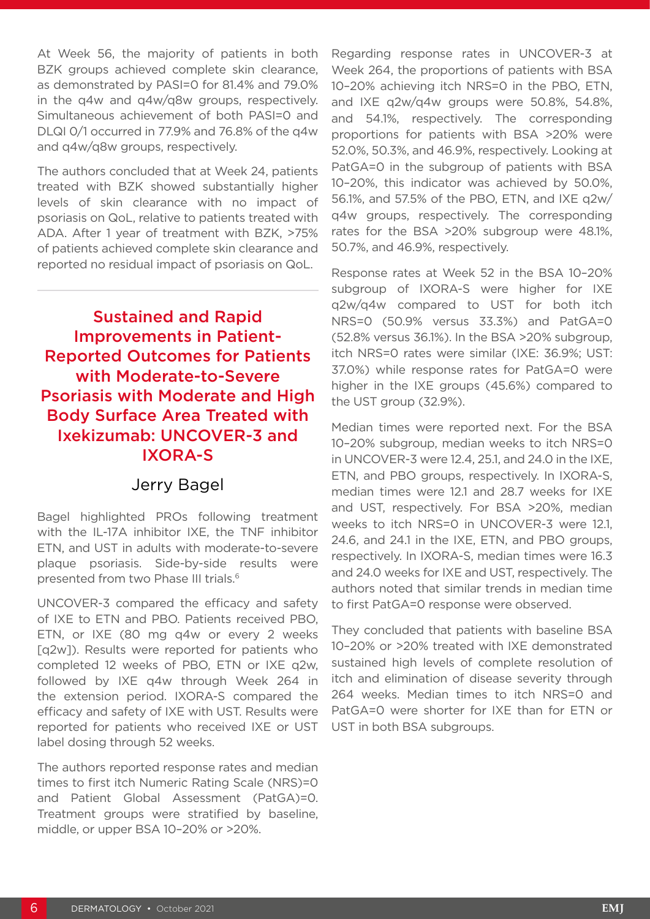At Week 56, the majority of patients in both BZK groups achieved complete skin clearance, as demonstrated by PASI=0 for 81.4% and 79.0% in the q4w and q4w/q8w groups, respectively. Simultaneous achievement of both PASI=0 and DLQI 0/1 occurred in 77.9% and 76.8% of the q4w and q4w/q8w groups, respectively.

The authors concluded that at Week 24, patients treated with BZK showed substantially higher levels of skin clearance with no impact of psoriasis on QoL, relative to patients treated with ADA. After 1 year of treatment with BZK, >75% of patients achieved complete skin clearance and reported no residual impact of psoriasis on QoL.

Sustained and Rapid Improvements in Patient-Reported Outcomes for Patients with Moderate-to-Severe Psoriasis with Moderate and High Body Surface Area Treated with Ixekizumab: UNCOVER-3 and IXORA-S

#### Jerry Bagel

Bagel highlighted PROs following treatment with the IL-17A inhibitor IXE, the TNF inhibitor ETN, and UST in adults with moderate-to-severe plaque psoriasis. Side-by-side results were presented from two Phase III trials.<sup>6</sup>

UNCOVER-3 compared the efficacy and safety of IXE to ETN and PBO. Patients received PBO, ETN, or IXE (80 mg q4w or every 2 weeks [q2w]). Results were reported for patients who completed 12 weeks of PBO, ETN or IXE q2w, followed by IXE q4w through Week 264 in the extension period. IXORA-S compared the efficacy and safety of IXE with UST. Results were reported for patients who received IXE or UST label dosing through 52 weeks.

The authors reported response rates and median times to first itch Numeric Rating Scale (NRS)=0 and Patient Global Assessment (PatGA)=0. Treatment groups were stratified by baseline, middle, or upper BSA 10–20% or >20%.

Regarding response rates in UNCOVER-3 at Week 264, the proportions of patients with BSA 10–20% achieving itch NRS=0 in the PBO, ETN, and IXE q2w/q4w groups were 50.8%, 54.8%, and 54.1%, respectively. The corresponding proportions for patients with BSA >20% were 52.0%, 50.3%, and 46.9%, respectively. Looking at PatGA=0 in the subgroup of patients with BSA 10–20%, this indicator was achieved by 50.0%, 56.1%, and 57.5% of the PBO, ETN, and IXE q2w/ q4w groups, respectively. The corresponding rates for the BSA >20% subgroup were 48.1%, 50.7%, and 46.9%, respectively.

Response rates at Week 52 in the BSA 10–20% subgroup of IXORA-S were higher for IXE q2w/q4w compared to UST for both itch NRS=0 (50.9% versus 33.3%) and PatGA=0 (52.8% versus 36.1%). In the BSA >20% subgroup, itch NRS=0 rates were similar (IXE: 36.9%; UST: 37.0%) while response rates for PatGA=0 were higher in the IXE groups (45.6%) compared to the UST group (32.9%).

Median times were reported next. For the BSA 10–20% subgroup, median weeks to itch NRS=0 in UNCOVER-3 were 12.4, 25.1, and 24.0 in the IXE, ETN, and PBO groups, respectively. In IXORA-S, median times were 12.1 and 28.7 weeks for IXE and UST, respectively. For BSA >20%, median weeks to itch NRS=0 in UNCOVER-3 were 12.1, 24.6, and 24.1 in the IXE, ETN, and PBO groups, respectively. In IXORA-S, median times were 16.3 and 24.0 weeks for IXE and UST, respectively. The authors noted that similar trends in median time to first PatGA=0 response were observed.

They concluded that patients with baseline BSA 10–20% or >20% treated with IXE demonstrated sustained high levels of complete resolution of itch and elimination of disease severity through 264 weeks. Median times to itch NRS=0 and PatGA=0 were shorter for IXE than for ETN or UST in both BSA subgroups.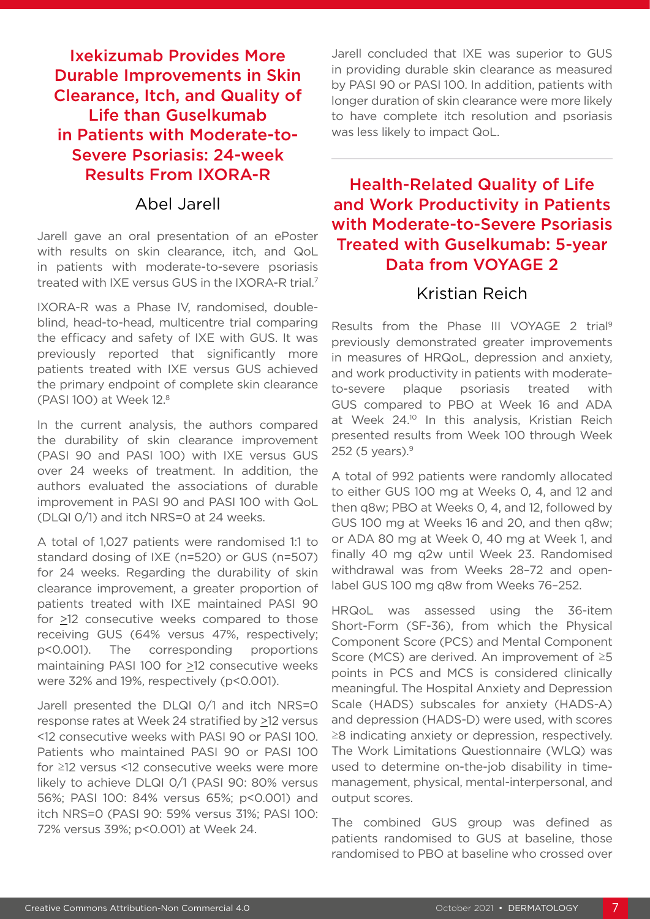### Ixekizumab Provides More Durable Improvements in Skin Clearance, Itch, and Quality of Life than Guselkumab in Patients with Moderate-to-Severe Psoriasis: 24-week Results From IXORA-R

#### Abel Jarell

Jarell gave an oral presentation of an ePoster with results on skin clearance, itch, and QoL in patients with moderate-to-severe psoriasis treated with IXE versus GUS in the IXORA-R trial.7

IXORA-R was a Phase IV, randomised, doubleblind, head-to-head, multicentre trial comparing the efficacy and safety of IXE with GUS. It was previously reported that significantly more patients treated with IXE versus GUS achieved the primary endpoint of complete skin clearance (PASI 100) at Week 12.8

In the current analysis, the authors compared the durability of skin clearance improvement (PASI 90 and PASI 100) with IXE versus GUS over 24 weeks of treatment. In addition, the authors evaluated the associations of durable improvement in PASI 90 and PASI 100 with QoL (DLQI 0/1) and itch NRS=0 at 24 weeks.

A total of 1,027 patients were randomised 1:1 to standard dosing of IXE (n=520) or GUS (n=507) for 24 weeks. Regarding the durability of skin clearance improvement, a greater proportion of patients treated with IXE maintained PASI 90 for >12 consecutive weeks compared to those receiving GUS (64% versus 47%, respectively; p<0.001). The corresponding proportions maintaining PASI 100 for >12 consecutive weeks were 32% and 19%, respectively (p<0.001).

Jarell presented the DLQI 0/1 and itch NRS=0 response rates at Week 24 stratified by >12 versus <12 consecutive weeks with PASI 90 or PASI 100. Patients who maintained PASI 90 or PASI 100 for ≥12 versus <12 consecutive weeks were more likely to achieve DLQI 0/1 (PASI 90: 80% versus 56%; PASI 100: 84% versus 65%; p<0.001) and itch NRS=0 (PASI 90: 59% versus 31%; PASI 100: 72% versus 39%; p<0.001) at Week 24.

Jarell concluded that IXE was superior to GUS in providing durable skin clearance as measured by PASI 90 or PASI 100. In addition, patients with longer duration of skin clearance were more likely to have complete itch resolution and psoriasis was less likely to impact QoL.

### Health-Related Quality of Life and Work Productivity in Patients with Moderate-to-Severe Psoriasis Treated with Guselkumab: 5-year Data from VOYAGE 2

#### Kristian Reich

Results from the Phase III VOYAGE 2 trial9 previously demonstrated greater improvements in measures of HRQoL, depression and anxiety, and work productivity in patients with moderateto-severe plaque psoriasis treated with GUS compared to PBO at Week 16 and ADA at Week 24.<sup>10</sup> In this analysis, Kristian Reich presented results from Week 100 through Week 252 (5 years). $9$ 

A total of 992 patients were randomly allocated to either GUS 100 mg at Weeks 0, 4, and 12 and then q8w; PBO at Weeks 0, 4, and 12, followed by GUS 100 mg at Weeks 16 and 20, and then q8w; or ADA 80 mg at Week 0, 40 mg at Week 1, and finally 40 mg q2w until Week 23. Randomised withdrawal was from Weeks 28–72 and openlabel GUS 100 mg q8w from Weeks 76–252.

HRQoL was assessed using the 36-item Short-Form (SF-36), from which the Physical Component Score (PCS) and Mental Component Score (MCS) are derived. An improvement of ≥5 points in PCS and MCS is considered clinically meaningful. The Hospital Anxiety and Depression Scale (HADS) subscales for anxiety (HADS-A) and depression (HADS-D) were used, with scores ≥8 indicating anxiety or depression, respectively. The Work Limitations Questionnaire (WLQ) was used to determine on-the-job disability in timemanagement, physical, mental-interpersonal, and output scores.

The combined GUS group was defined as patients randomised to GUS at baseline, those randomised to PBO at baseline who crossed over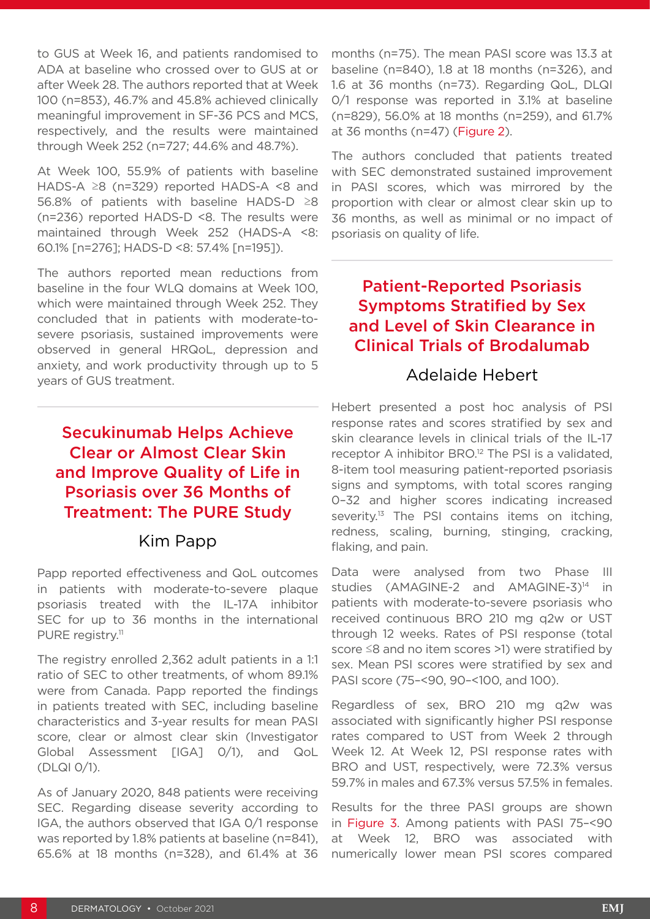to GUS at Week 16, and patients randomised to ADA at baseline who crossed over to GUS at or after Week 28. The authors reported that at Week 100 (n=853), 46.7% and 45.8% achieved clinically meaningful improvement in SF-36 PCS and MCS, respectively, and the results were maintained through Week 252 (n=727; 44.6% and 48.7%).

At Week 100, 55.9% of patients with baseline HADS-A ≥8 (n=329) reported HADS-A <8 and 56.8% of patients with baseline HADS-D ≥8 (n=236) reported HADS-D <8. The results were maintained through Week 252 (HADS-A <8: 60.1% [n=276]; HADS-D <8: 57.4% [n=195]).

The authors reported mean reductions from baseline in the four WLQ domains at Week 100, which were maintained through Week 252. They concluded that in patients with moderate-tosevere psoriasis, sustained improvements were observed in general HRQoL, depression and anxiety, and work productivity through up to 5 years of GUS treatment.

Secukinumab Helps Achieve Clear or Almost Clear Skin and Improve Quality of Life in Psoriasis over 36 Months of Treatment: The PURE Study

#### Kim Papp

Papp reported effectiveness and QoL outcomes in patients with moderate-to-severe plaque psoriasis treated with the IL-17A inhibitor SEC for up to 36 months in the international PURE registry.<sup>11</sup>

The registry enrolled 2,362 adult patients in a 1:1 ratio of SEC to other treatments, of whom 89.1% were from Canada. Papp reported the findings in patients treated with SEC, including baseline characteristics and 3-year results for mean PASI score, clear or almost clear skin (Investigator Global Assessment [IGA] 0/1), and QoL (DLQI 0/1).

As of January 2020, 848 patients were receiving SEC. Regarding disease severity according to IGA, the authors observed that IGA 0/1 response was reported by 1.8% patients at baseline (n=841), 65.6% at 18 months (n=328), and 61.4% at 36

months (n=75). The mean PASI score was 13.3 at baseline (n=840), 1.8 at 18 months (n=326), and 1.6 at 36 months (n=73). Regarding QoL, DLQI 0/1 response was reported in 3.1% at baseline (n=829), 56.0% at 18 months (n=259), and 61.7% at 36 months (n=47) (Figure 2).

The authors concluded that patients treated with SEC demonstrated sustained improvement in PASI scores, which was mirrored by the proportion with clear or almost clear skin up to 36 months, as well as minimal or no impact of psoriasis on quality of life.

### Patient-Reported Psoriasis Symptoms Stratified by Sex and Level of Skin Clearance in Clinical Trials of Brodalumab

#### Adelaide Hebert

Hebert presented a post hoc analysis of PSI response rates and scores stratified by sex and skin clearance levels in clinical trials of the IL-17 receptor A inhibitor BRO.<sup>12</sup> The PSI is a validated, 8-item tool measuring patient-reported psoriasis signs and symptoms, with total scores ranging 0–32 and higher scores indicating increased severity.<sup>13</sup> The PSI contains items on itching, redness, scaling, burning, stinging, cracking, flaking, and pain.

Data were analysed from two Phase III studies  $(AMAGINE-2$  and  $AMAGINE-3)<sup>14</sup>$  in patients with moderate-to-severe psoriasis who received continuous BRO 210 mg q2w or UST through 12 weeks. Rates of PSI response (total score ≤8 and no item scores >1) were stratified by sex. Mean PSI scores were stratified by sex and PASI score (75–<90, 90–<100, and 100).

Regardless of sex, BRO 210 mg q2w was associated with significantly higher PSI response rates compared to UST from Week 2 through Week 12. At Week 12, PSI response rates with BRO and UST, respectively, were 72.3% versus 59.7% in males and 67.3% versus 57.5% in females.

Results for the three PASI groups are shown in Figure 3. Among patients with PASI 75–<90 at Week 12, BRO was associated with numerically lower mean PSI scores compared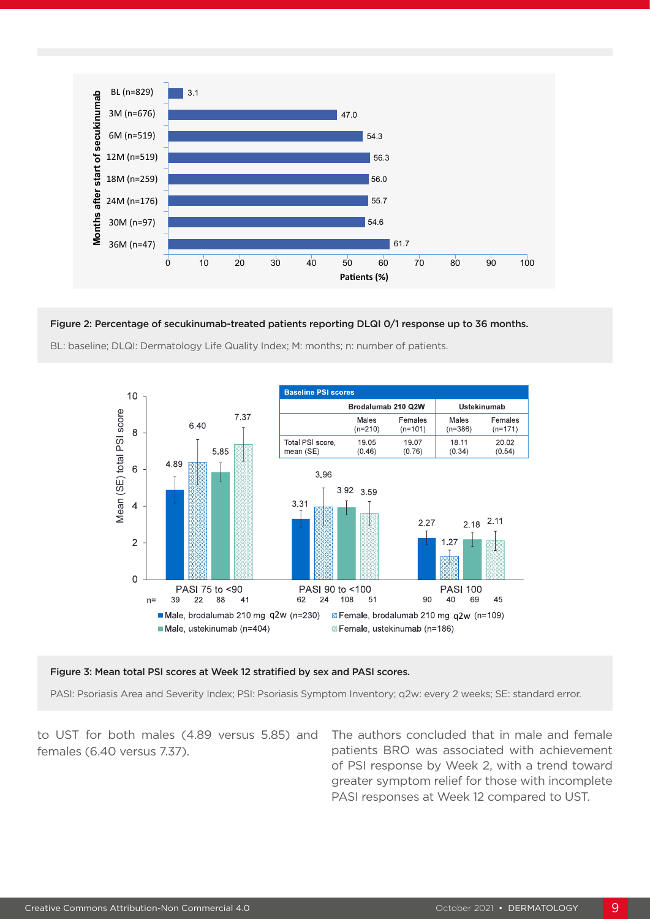

#### Figure 2: Percentage of secukinumab-treated patients reporting DLQI 0/1 response up to 36 months.

**Conclusions** BL: baseline; DLQI: Dermatology Life Quality Index; M: months; n: number of patients.



#### Figure 3: Mean total PSI scores at Week 12 stratified by sex and PASI scores.

PASI: Psoriasis Area and Severity Index; PSI: Psoriasis Symptom Inventory; q2w: every 2 weeks; SE: standard error.<br>.

**Disclosures** to UST for both males (4.89 versus 5.85) and **K. Papp** and **M. Gooderham** are advisors and investigators for Novartis. **M. Robern, M. Shaffelburg, D. Sajic,** females (6.40 versus 7.37).

**J. C. A. View S. 2008 C. A. C. A. S. A. View S. A. View S. A. View S. A. View S. A. View S. A. View S. A. View S. A. View S. A. View S. A. View S. A. View S. A. View S. A. View S. A. View S. A. View S. A. View S. A. Vie** All authors participated in the development of the poster for presentation. The authors thank Amrita The authors concluded that in male and female of PSI response by Week 2, with a trend toward greater symptom relief for those with incomplete PASI responses at Week 12 compared to UST.